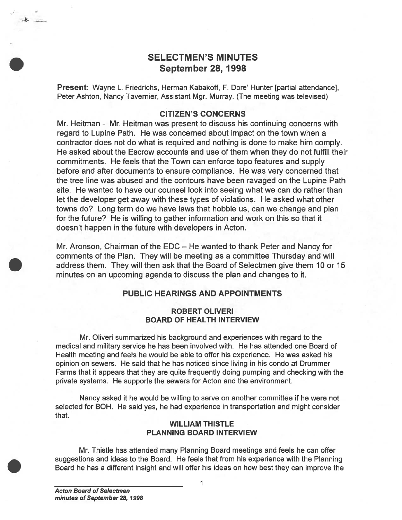# SELECTMEN'S MINUTES September 28, 1998

Present: Wayne L. Friedrichs, Herman Kabakoff, F. Dore' Hunter [partial attendance], Peter Ashton, Nancy Tavernier, Assistant Mgr. Murray. (The meeting was televised)

## CITIZEN'S CONCERNS

Mr. Heitman - Mr. Heitman was presen<sup>t</sup> to discuss his continuing concerns with regard to Lupine Path. He was concerned about impact on the town when <sup>a</sup> contractor does not do what is required and nothing is done to make him comply. He asked about the Escrow accounts and use of them when they do not fulfill their commitments. He feels that the Town can enforce topo features and supply before and after documents to ensure compliance. He was very concerned that the tree line was abused and the contours have been ravaged on the Lupine Path site. He wanted to have our counsel look into seeing what we can do rather than let the developer ge<sup>t</sup> away with these types of violations. He asked what other towns do? Long term do we have laws that hobble us, can we change and plan for the future? He is willing to gather information and work on this so that it doesn't happen in the future with developers in Acton. SELECTMEN'S MINUTES<br>
September 28, 1998<br>
Present Wayne L. Friedrichs, Heman Kabakoff, F. Dore' Hunter [partial attendance],<br>
Netri-Ainton, Nancy Taventing, Naskat Migh. Murrey, (The meleting was bisivised)<br>
OCTIZEN'S CONCE

Mr. Aronson, Chairman of the EDC — He wanted to thank Peter and Nancy for comments of the Plan. They will be meeting as <sup>a</sup> committee Thursday and will address them. They will then ask that the Board of Selectmen give them 10 or 15 minutes on an upcoming agenda to discuss the plan and changes to it.

### PUBLIC HEARINGS AND APPOINTMENTS

### ROBERT OLIVERI BOARD OF HEALTH INTERVIEW

Mr. Oliveri summarized his background and experiences with regard to the medical and military service he has been involved with. He has attended one Board of Health meeting and feels he would be able to offer his experience. He was asked his opinion on sewers. He said that he has noticed since living in his condo at Drummer Farms that it appears that they are quite frequently doing pumping and checking with the private systems. He supports the sewers for Acton and the environment.

Nancy asked it he would be willing to serve on another committee if he were not selected for BOH. He said yes, he had experience in transportation and might consider that.

### WILLIAM THISTLE PLANNING BOARD INTERVIEW

Mr. Thistle has attended many Planning Board meetings and feels he can offer suggestions and ideas to the Board. He feels that from his experience with the Planning

I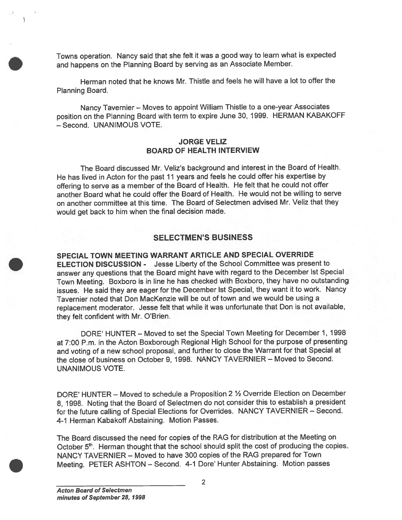Towns operation. Nancy said that she felt it was <sup>a</sup> goo<sup>d</sup> way to learn what is expected and happens on the Planning Board by serving as an Associate Member.

Herman noted that he knows Mr. Thistle and feels he will have <sup>a</sup> lot to offer the Planning Board.

Nancy Tavernier — Moves to appoint William Thistle to <sup>a</sup> one-year Associates position on the Planning Board with term to expire June 30, 1999. HERMAN KABAKOFF — Second. UNANIMOUS VOTE.

### JORGE VELIZ BOARD OF HEALTH INTERVIEW

The Board discussed Mr. Veliz's background and interest in the Board of Health. He has lived in Acton for the pas<sup>t</sup> <sup>11</sup> years and feels he could offer his expertise by offering to serve as <sup>a</sup> member of the Board of Health. He felt that he could not offer another Board what he could offer the Board of Health. He would not be willing to serve on another committee at this time. The Board of Selectmen advised Mr. Veliz that they would ge<sup>t</sup> back to him when the final decision made.

## SELECTMEN'S BUSINESS

SPECIAL TOWN MEETING WARRANT ARTICLE AND SPECIAL OVERRIDE ELECTION DISCUSSION - Jesse Liberty of the School Committee was presen<sup>t</sup> to answer any questions that the Board might have with regar<sup>d</sup> to the December 1st Special Town Meeting. Boxboro is in line he has checked with Boxboro, they have no outstanding issues. He said they are eager for the December 1st Special, they want it to work. Nancy Tavernier noted that Don MacKenzie will be out of town and we would be using <sup>a</sup> replacement moderator. Jesse felt that while it was unfortunate that Don is not available, they felt confident with Mr. O'Brien.

DORE' HUNTER — Moved to set the Special Town Meeting for December 1, 1998 at 7:00 P.m. in the Acton Boxborough Regional High School for the purpose of presenting and voting of <sup>a</sup> new school proposal, and further to close the Warrant for that Special at the close of business on October 9, 1998. NANCY TAVERNIER — Moved to Second. UNANIMOUS VOTE.

DORE' HUNTER — Moved to schedule <sup>a</sup> Proposition <sup>2</sup> % Override Election on December 8, 1998. Noting that the Board of Selectmen do not consider this to establish <sup>a</sup> president for the future calling of Special Elections for Overrides. NANCY TAVERNIER — Second. 4-1 Herman Kabakoff Abstaining. Motion Passes.

The Board discussed the need for copies of the RAG for distribution at the Meeting on October 5<sup>th</sup>. Herman thought that the school should split the cost of producing the copies. NANCY TAVERNIER — Moved to have 300 copies of the RAG prepared for Town Meeting. PETER ASHTON — Second. 4-1 Dore' Hunter Abstaining. Motion passes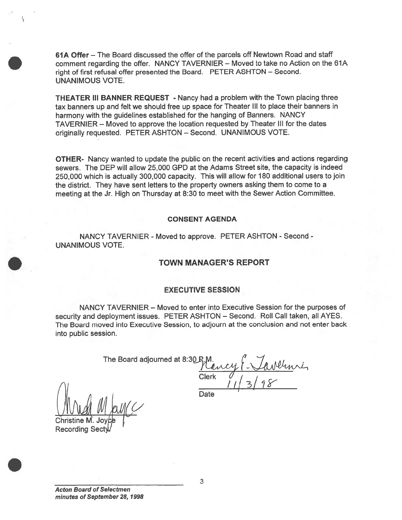61A Offer — The Board discussed the offer of the parcels off Newtown Road and staff comment regarding the offer. NANCY TAVERNIER - Moved to take no Action on the 61A right of first refusal offer presented the Board. PETER ASHTON — Second. UNANIMOUS VOTE.

THEATER III BANNER REQUEST - Nancy had <sup>a</sup> problem with the Town placing three tax banners up and felt we should free up space for Theater Ill to <sup>p</sup>lace their banners in harmony with the guidelines established for the hanging of Banners. NANCY TAVERN IER — Moved to approve the location requested by Theater III for the dates originally requested. PETER ASHTON — Second. UNANIMOUS VOTE.

OTHER- Nancy wanted to update the public on the recent activities and actions regarding sewers. The DEP will allow 25,000 GPD at the Adams Street site, the capacity is indeed 250,000 which is actually 300,000 capacity. This will allow for 180 additional users to join the district. They have sent letters to the property owners asking them to come to <sup>a</sup> meeting at the Jr. High on Thursday at 8:30 to meet with the Sewer Action Committee.

### CONSENT AGENDA

NANCY TAVERNIER - Moved to approve. PETER ASHTON - Second -UNANIMOUS VOTE.

### TOWN MANAGER'S REPORT

### EXECUTIVE SESSION

NANCY TAVERNIER — Moved to enter into Executive Session for the purposes of security and deployment issues. PETER ASHTON — Second. Roll Call taken, all AYES. The Board moved into Executive Session, to adjourn at the conclusion and not enter back into public session.

The Board adjourned at  $8:30$  P.M.

Clerk  $U$  $\frac{1.4}{1.5}$ 

Date

Mrd

Christine M. Joy **Recording Sec**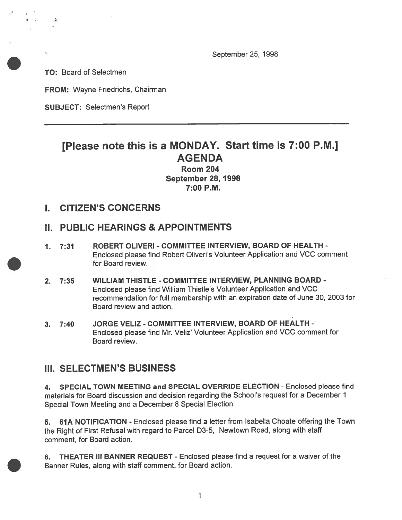September 25, 1998

TO: Board of Selectmen

'I

FROM: Wayne Friedrichs, Chairman

SUBJECT: Selectmen's Report

# [Please note this is <sup>a</sup> MONDAY. Start time is 7:00 P.M.] AGENDA

Room 204 September 28, 1998 7:00 P.M.

## I. CITIZEN'S CONCERNS

# II. PUBLIC HEARINGS & APPOINTMENTS

- 1. 7:31 ROBERT CLIVERI COMMITTEE INTERVIEW, BOARD OF HEALTH Enclosed <sup>p</sup>lease find Robert Oliveri's Volunteer Application and VCC comment for Board review.
- 2. 7:35 WILLIAM THISTLE COMMITTEE INTERVIEW, PLANNING BOARD Enclosed please find William Thistle's Volunteer Application and VCC recommendation for full membership with an expiration date of June 30, 2003 for Board review and action.
- 3. 7:40 JORGE VELIZ COMMITTEE INTERVIEW, BOARD OF HEALTH Enclosed <sup>p</sup>lease find Mr. Veliz' Volunteer Application and VCC comment for Board review.

## III. SELECTMEN'S BUSINESS

4. SPECIAL TOWN MEETING and SPECIAL OVERRIDE ELECTION - Enclosed please find materials for Board discussion and decision regarding the School's reques<sup>t</sup> for <sup>a</sup> December 1 Special Town Meeting and <sup>a</sup> December 8 Special Election.

5. 61A NOTIFICATION - Enclosed <sup>p</sup>lease find <sup>a</sup> letter from Isabella Choate offering the Town the Right of First Refusal with regar<sup>d</sup> to Parcel D3-5, Newtown Road, along with staff comment, for Board action.

6. THEATER III BANNER REQUEST - Enclosed please find a request for a waiver of the Banner Rules, along with staff comment, for Board action.

> 1 1